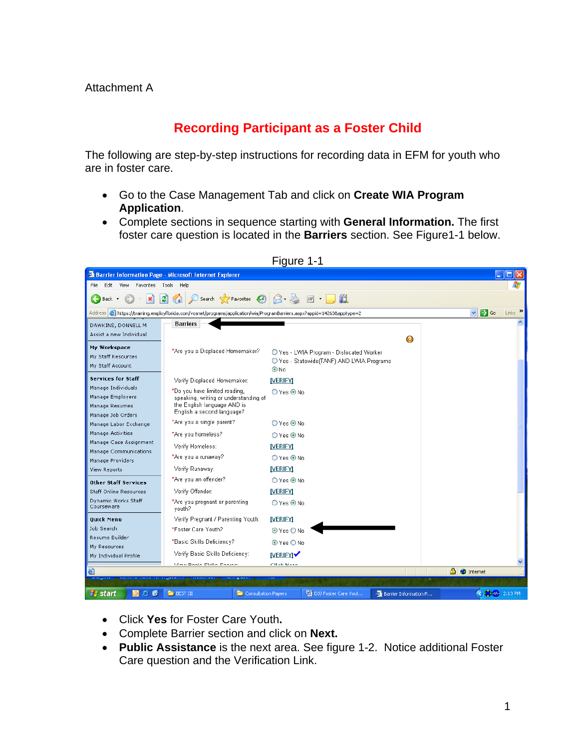## **Recording Participant as a Foster Child**

The following are step-by-step instructions for recording data in EFM for youth who are in foster care.

- Go to the Case Management Tab and click on **Create WIA Program Application**.
- Complete sections in sequence starting with **General Information.** The first foster care question is located in the **Barriers** section. See Figure1-1 below.



Figure 1-1

- Click **Yes** for Foster Care Youth**.**
- Complete Barrier section and click on **Next.**
- **Public Assistance** is the next area. See figure 1-2. Notice additional Foster Care question and the Verification Link.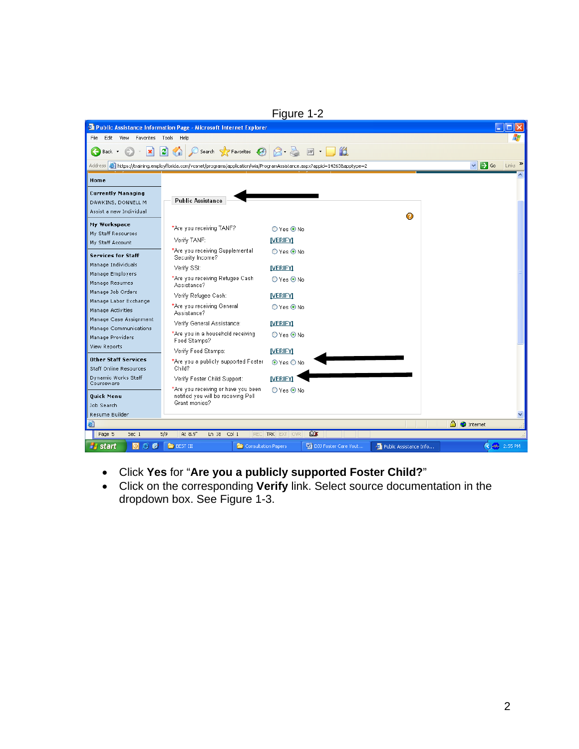|                                                                            |                                                                                                                           | Figure 1-2           |                        |                                                                    |
|----------------------------------------------------------------------------|---------------------------------------------------------------------------------------------------------------------------|----------------------|------------------------|--------------------------------------------------------------------|
| <b>Public Assistance Information Page - Microsoft Internet Explorer</b>    |                                                                                                                           |                      |                        |                                                                    |
| Favorites<br>File<br>Edit<br>View<br>Tools<br>Help                         |                                                                                                                           |                      |                        |                                                                    |
| $\mathbf x$<br>Back +                                                      | Search <b>P</b> Favorites (2)<br>e                                                                                        | 16<br><b>W</b>       |                        |                                                                    |
|                                                                            | Address @ https://training.employflorida.com/vosnet/programs/application/wia/ProgramAssistance.aspx?appid=142638apptype=2 |                      |                        | $Links$ $\rightarrow$<br>$\Rightarrow$ Go<br>$\mathbf{\mathbf{v}}$ |
| Home                                                                       |                                                                                                                           |                      |                        |                                                                    |
| <b>Currently Managing</b><br>DAWKINS, DONNELL M<br>Assist a new Individual | <b>Public Assistance</b>                                                                                                  |                      |                        |                                                                    |
| My Workspace                                                               | *Are you receiving TANF?                                                                                                  | ○ Yes ⊙ No           | Ø                      |                                                                    |
| My Staff Resources<br>My Staff Account                                     | Verify TANF:                                                                                                              | <b>IVERIFYI</b>      |                        |                                                                    |
| <b>Services for Staff</b>                                                  | *Are you receiving Supplemental<br>Security Income?                                                                       | ○ Yes ⊙ No           |                        |                                                                    |
| Manage Individuals                                                         | Verify SSI:                                                                                                               | <b>IVERIFYI</b>      |                        |                                                                    |
| Manage Employers<br>Manage Resumes                                         | *Are you receiving Refugee Cash<br>Assistance?                                                                            | $O$ Yes $\odot$ No   |                        |                                                                    |
| Manage Job Orders                                                          | Verify Refugee Cash:                                                                                                      | <b>IVERIFYI</b>      |                        |                                                                    |
| Manage Labor Exchange<br>Manage Activities                                 | *Are you receiving General<br>Assistance?                                                                                 | $O$ Yes $\odot$ No   |                        |                                                                    |
| Manage Case Assignment<br>Manage Communications                            | Verify General Assistance:                                                                                                | <b>IVERIFYI</b>      |                        |                                                                    |
| Manage Providers                                                           | *Are you in a household receiving<br>Food Stamps?                                                                         | $O$ Yes $\odot$ No   |                        |                                                                    |
| View Reports                                                               | Verify Food Stamps:                                                                                                       | <b>IVERIFYI</b>      |                        |                                                                    |
| <b>Other Staff Services</b><br>Staff Online Resources                      | *Are you a publicly supported Foster<br>Child?                                                                            | ⊙ Yes O No           |                        |                                                                    |
| Dynamic Works Staff<br>Courseware                                          | Verify Foster Child Support:                                                                                              | <b>IVERIFYI</b>      |                        |                                                                    |
| <b>Ouick Menu</b><br>Job Search                                            | *Are you receiving or have you been<br>notified you will be receiving Pell<br>Grant monies?                               | $O$ Yes $\odot$ No   |                        |                                                                    |
| Resume Builder                                                             |                                                                                                                           |                      |                        |                                                                    |
| 6                                                                          |                                                                                                                           | <b>Dx</b>            |                        | <b>A</b> Internet                                                  |
| Page 5<br>Sec 1                                                            | 5/9<br>At 8.9"<br>Ln 18<br>Col 1<br>REC                                                                                   | TRK EXT OVR          |                        |                                                                    |
| 僑<br><b><i>Fi</i></b> start<br>e<br>$\Theta$                               | <b>E</b> BEST III<br>Consultation Papers                                                                                  | DJJ Foster Care Yout | Public Assistance Info | $\bigotimes 100 - 2:55 \text{ PM}$                                 |

- Click **Yes** for "**Are you a publicly supported Foster Child?**"
- Click on the corresponding **Verify** link. Select source documentation in the dropdown box. See Figure 1-3.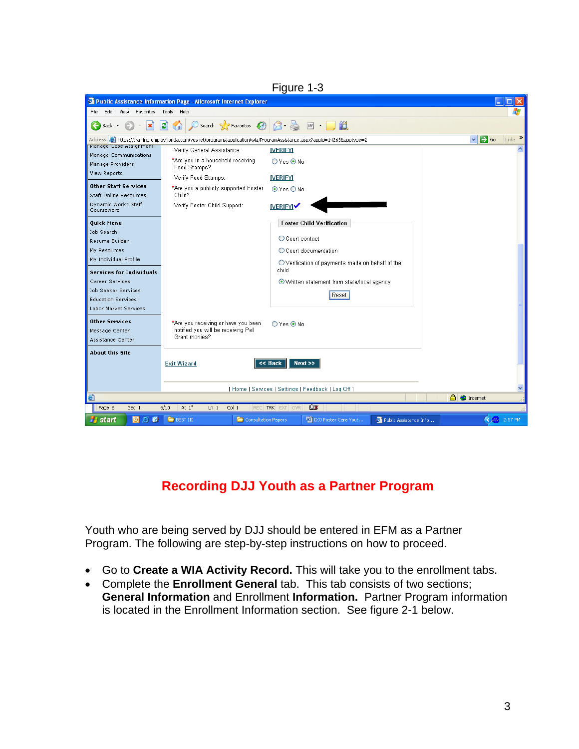|                                                       |                                                                                                                                  | Figure 1-3                                                |                                                           |
|-------------------------------------------------------|----------------------------------------------------------------------------------------------------------------------------------|-----------------------------------------------------------|-----------------------------------------------------------|
|                                                       | <sup>2</sup> Public Assistance Information Page - Microsoft Internet Explorer                                                    |                                                           |                                                           |
| Edit<br>View<br>Favorites<br>File                     | Tools<br>Help                                                                                                                    |                                                           |                                                           |
| $\mathbf x$<br>Back *                                 | Search Scravorites A<br>이<br>$\mathbf{G}$                                                                                        | 16<br>$W$ $\rightarrow$                                   |                                                           |
|                                                       | Address <b>6</b> https://training.employflorida.com/vosnet/programs/application/wia/ProgramAssistance.aspx?appid=142638apptype=2 |                                                           | $Links$ $\rightarrow$<br>$\Rightarrow$ Go<br>$\checkmark$ |
| manage Case Assignment<br>Manage Communications       | Verify General Assistance:                                                                                                       | <b>NERIFY</b>                                             |                                                           |
| Manage Providers                                      | *Are you in a household receiving<br>Food Stamps?                                                                                | $O$ Yes $\odot$ No                                        |                                                           |
| View Reports                                          | Verify Food Stamps:                                                                                                              | <b>IVERIFYI</b>                                           |                                                           |
| <b>Other Staff Services</b><br>Staff Online Resources | *Are you a publicly supported Foster<br>Child?                                                                                   | $\odot$ Yes $\bigcirc$ No                                 |                                                           |
| Dynamic Works Staff<br>Courseware                     | Verify Foster Child Support:                                                                                                     | <b>IVERIFYIV</b>                                          |                                                           |
| <b>Ouick Menu</b>                                     |                                                                                                                                  | <b>Foster Child Verification</b>                          |                                                           |
| Job Search                                            |                                                                                                                                  | C Court contact                                           |                                                           |
| Resume Builder                                        |                                                                                                                                  |                                                           |                                                           |
| My Resources<br>My Individual Profile                 |                                                                                                                                  | O Court documentation                                     |                                                           |
| <b>Services for Individuals</b>                       |                                                                                                                                  | O Verification of payments made on behalf of the<br>child |                                                           |
| Career Services                                       |                                                                                                                                  | ⊙ Written statement from state/local agency               |                                                           |
| Job Seeker Services                                   |                                                                                                                                  |                                                           |                                                           |
| <b>Education Services</b>                             |                                                                                                                                  | Reset                                                     |                                                           |
| Labor Market Services                                 |                                                                                                                                  |                                                           |                                                           |
| Other Services                                        | *Are you receiving or have you been                                                                                              | $O$ Yes $\odot$ No                                        |                                                           |
| Message Center                                        | notified you will be receiving Pell                                                                                              |                                                           |                                                           |
| Assistance Center                                     | Grant monies?                                                                                                                    |                                                           |                                                           |
| <b>About this Site</b>                                |                                                                                                                                  |                                                           |                                                           |
|                                                       | <b>Exit Wizard</b>                                                                                                               | << Back<br>Next                                           |                                                           |
|                                                       |                                                                                                                                  |                                                           |                                                           |
|                                                       |                                                                                                                                  | [Home   Services   Settings   Feedback   Log Off ]        |                                                           |
| 8                                                     |                                                                                                                                  |                                                           | A C Internet                                              |
| Page 6<br>Sec 1                                       | Col <sub>1</sub><br>6/10<br>At 1"<br>Ln <sub>1</sub><br><b>REC</b>                                                               | <b>Dx</b><br><b>TRK</b> EXT OVR                           |                                                           |
| <b><i>Fi</i></b> start<br>僑<br>e<br>$\Theta$          | $B$ BEST III<br>Consultation Papers                                                                                              | DJJ Foster Care Yout<br>Public Assistance Info            | <b>4 AM</b> 2:57 PM                                       |

## **Recording DJJ Youth as a Partner Program**

Youth who are being served by DJJ should be entered in EFM as a Partner Program. The following are step-by-step instructions on how to proceed.

- Go to **Create a WIA Activity Record.** This will take you to the enrollment tabs.
- Complete the **Enrollment General** tab. This tab consists of two sections; **General Information** and Enrollment **Information.** Partner Program information is located in the Enrollment Information section. See figure 2-1 below.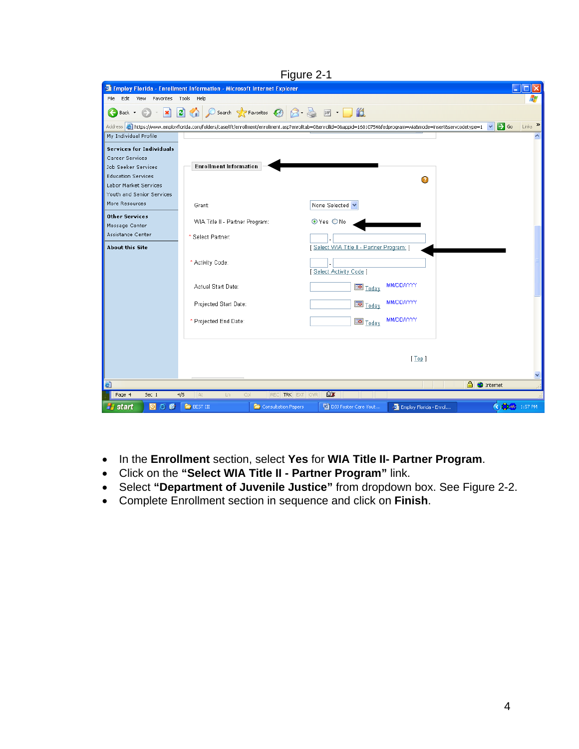| Figure 2-1                                  |                                                                                                                                                                           |                                        |                        |                                                 |  |
|---------------------------------------------|---------------------------------------------------------------------------------------------------------------------------------------------------------------------------|----------------------------------------|------------------------|-------------------------------------------------|--|
|                                             | <sup>2</sup> Employ Florida - Enrollment Information - Microsoft Internet Explorer                                                                                        |                                        |                        |                                                 |  |
| Edit<br>Favorites Tools<br>File<br>View     | Help                                                                                                                                                                      |                                        |                        |                                                 |  |
| $\boldsymbol{\mathsf{x}}$<br>Back *         | $\circ$ Search $\star$ Favorites $\circledcirc$ $\circlearrowright$<br>e<br>⊙                                                                                             | $w - 10$                               |                        |                                                 |  |
|                                             | Address <b>3</b> https://www.employflorida.com/folders/case/ift/enrollment/enrollment.asp?enrolltab=0&enrollid=0&appid=16010754&fedprogram=wia&mode=insert&servcodetype=1 |                                        |                        | $Links$ <sup>&gt;&gt;</sup><br>$\rightarrow$ Go |  |
| My Individual Profile                       |                                                                                                                                                                           |                                        |                        |                                                 |  |
| <b>Services for Individuals</b>             |                                                                                                                                                                           |                                        |                        |                                                 |  |
| Career Services                             |                                                                                                                                                                           |                                        |                        |                                                 |  |
| Job Seeker Services                         | <b>Enrollment Information</b>                                                                                                                                             |                                        |                        |                                                 |  |
| <b>Education Services</b>                   |                                                                                                                                                                           |                                        | Ø                      |                                                 |  |
| Labor Market Services                       |                                                                                                                                                                           |                                        |                        |                                                 |  |
| Youth and Senior Services                   |                                                                                                                                                                           |                                        |                        |                                                 |  |
| More Resources                              | Grant:                                                                                                                                                                    | None Selected                          |                        |                                                 |  |
| <b>Other Services</b>                       | WIA Title II - Partner Program:                                                                                                                                           | ⊙ Yes ONo                              |                        |                                                 |  |
| Message Center                              |                                                                                                                                                                           |                                        |                        |                                                 |  |
| Assistance Center<br><b>About this Site</b> | * Select Partner:                                                                                                                                                         | Select WIA Title II - Partner Program: |                        |                                                 |  |
|                                             |                                                                                                                                                                           |                                        |                        |                                                 |  |
|                                             | * Activity Code:                                                                                                                                                          | [Select Activity Code]                 |                        |                                                 |  |
|                                             | Actual Start Date:                                                                                                                                                        | <b>BD</b> Today                        | <b>MM/DD/YYYY</b>      |                                                 |  |
|                                             | Projected Start Date:                                                                                                                                                     | <b>Today</b>                           | <b>MM/DD/YYYY</b>      |                                                 |  |
|                                             | * Projected End Date:                                                                                                                                                     | <b>Today</b>                           | <b>MM/DD/YYYY</b>      |                                                 |  |
|                                             |                                                                                                                                                                           |                                        |                        |                                                 |  |
|                                             |                                                                                                                                                                           |                                        |                        |                                                 |  |
|                                             |                                                                                                                                                                           |                                        | [Top]                  |                                                 |  |
|                                             |                                                                                                                                                                           |                                        |                        | ×                                               |  |
| 图                                           |                                                                                                                                                                           |                                        |                        | <b>A O</b> Internet                             |  |
| Page 4<br>Sec 1                             | 4/5<br>At<br><b>TRK</b><br>Col<br>REC<br>Ln                                                                                                                               | <b>Bx</b><br><b>EXT OVR</b>            |                        |                                                 |  |
| OC<br><b><i>F</i></b> start<br><b>D</b>     | <b>BEST III</b><br>Consultation Papers                                                                                                                                    | DJJ Foster Care Yout                   | Employ Florida - Enrol | <b>CD</b> 1-00- 1:57 PM                         |  |

- In the **Enrollment** section, select **Yes** for **WIA Title II- Partner Program**.
- Click on the **"Select WIA Title II Partner Program"** link.
- Select **"Department of Juvenile Justice"** from dropdown box. See Figure 2-2.
- Complete Enrollment section in sequence and click on **Finish**.